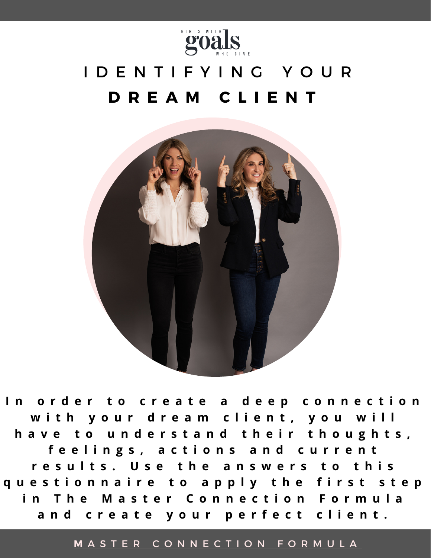

# I D E N T I F Y I N G Y O U R **D R E A M C L I E N T**



In order to create a deep connection with your dream client, you will have to understand their thoughts, feelings, actions and current results. Use the answers to this questionnaire to apply the first step in The Master Connection Formula and create your perfect client.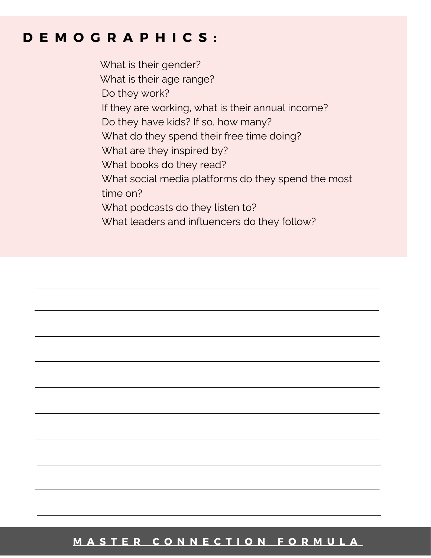### **D E M O G R A P H I C S :**

What is their gender? What is their age range? Do they work? If they are working, what is their annual income? Do they have kids? If so, how many? What do they spend their free time doing? What are they inspired by? What books do they read? What social media platforms do they spend the most time on? What podcasts do they listen to? What leaders and influencers do they follow?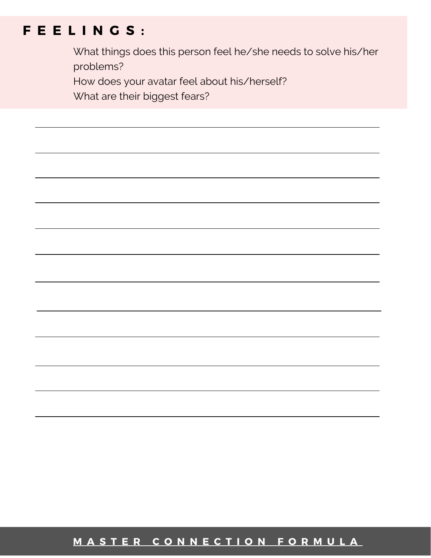## **F E E L I N G S :**

What things does this person feel he/she needs to solve his/her problems?

How does your avatar feel about his/herself?

What are their biggest fears?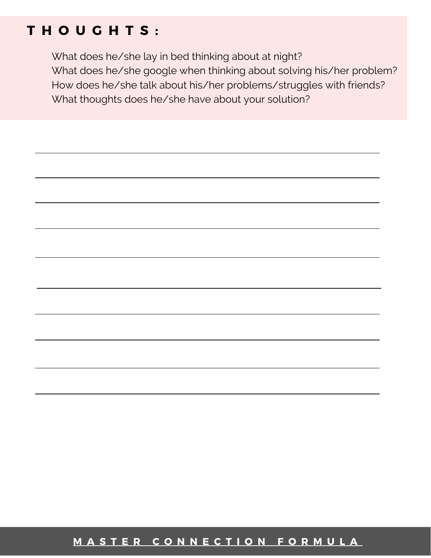### **T H O U G H T S :**

What does he/she lay in bed thinking about at night? What does he/she google when thinking about solving his/her problem? How does he/she talk about his/her problems/struggles with friends? What thoughts does he/she have about your solution?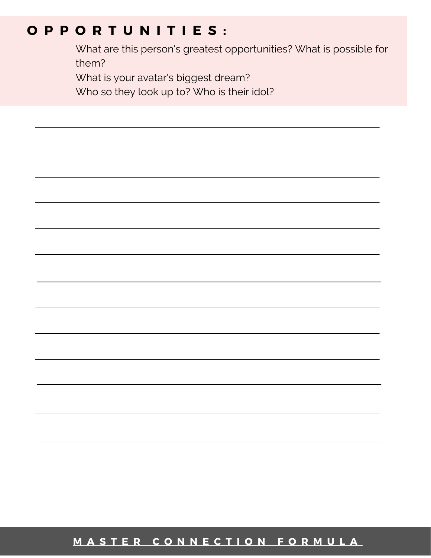### **O P P O R T U N I T I E S :**

What are this person's greatest opportunities? What is possible for them?

What is your avatar's biggest dream?

Who so they look up to? Who is their idol?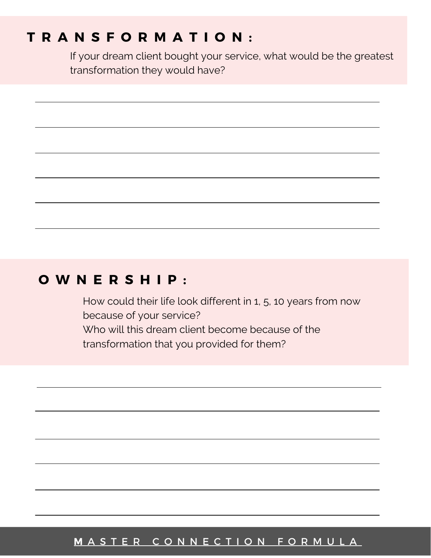### **T R A N S F O R M A T I O N :**

If your dream client bought your service, what would be the greatest transformation they would have?

### **O W N E R S H I P :**

How could their life look different in 1, 5, 10 years from now because of your service? Who will this dream client become because of the transformation that you provided for them?